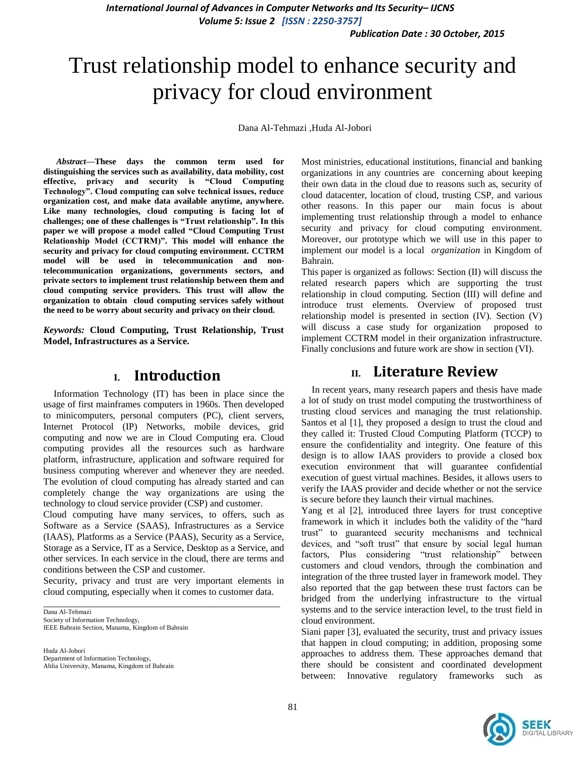*Publication Date : 30 October, 2015*

# Trust relationship model to enhance security and privacy for cloud environment

Dana Al-Tehmazi ,Huda Al-Jobori

*Abstract***—These days the common term used for distinguishing the services such as availability, data mobility, cost effective, privacy and security is "Cloud Computing Technology". Cloud computing can solve technical issues, reduce organization cost, and make data available anytime, anywhere. Like many technologies, cloud computing is facing lot of challenges; one of these challenges is "Trust relationship". In this paper we will propose a model called "Cloud Computing Trust Relationship Model (CCTRM)". This model will enhance the security and privacy for cloud computing environment. CCTRM model will be used in telecommunication and nontelecommunication organizations, governments sectors, and private sectors to implement trust relationship between them and cloud computing service providers. This trust will allow the organization to obtain cloud computing services safely without the need to be worry about security and privacy on their cloud.**

*Keywords:* **Cloud Computing, Trust Relationship, Trust Model, Infrastructures as a Service.**

#### **I. Introduction**

Information Technology (IT) has been in place since the usage of first mainframes computers in 1960s. Then developed to minicomputers, personal computers (PC), client servers, Internet Protocol (IP) Networks, mobile devices, grid computing and now we are in Cloud Computing era. Cloud computing provides all the resources such as hardware platform, infrastructure, application and software required for business computing wherever and whenever they are needed. The evolution of cloud computing has already started and can completely change the way organizations are using the technology to cloud service provider (CSP) and customer.

Cloud computing have many services, to offers, such as Software as a Service (SAAS), Infrastructures as a Service (IAAS), Platforms as a Service (PAAS), Security as a Service, Storage as a Service, IT as a Service, Desktop as a Service, and other services. In each service in the cloud, there are terms and conditions between the CSP and customer.

Security, privacy and trust are very important elements in cloud computing, especially when it comes to customer data. \_\_\_\_\_\_\_\_\_\_\_\_\_\_\_\_\_\_\_\_\_\_\_\_\_\_\_\_\_\_\_\_\_\_\_\_\_\_\_\_\_\_\_\_\_\_\_\_\_\_

Dana Al-Tehmazi Society of Information Technology, IEEE Bahrain Section, Manama, Kingdom of Bahrain

Huda Al-Jobori Department of Information Technology, Ahlia University, Manama, Kingdom of Bahrain Most ministries, educational institutions, financial and banking organizations in any countries are concerning about keeping their own data in the cloud due to reasons such as, security of cloud datacenter, location of cloud, trusting CSP, and various other reasons. In this paper our main focus is about implementing trust relationship through a model to enhance security and privacy for cloud computing environment. Moreover, our prototype which we will use in this paper to implement our model is a local *organization* in Kingdom of Bahrain.

This paper is organized as follows: Section (II) will discuss the related research papers which are supporting the trust relationship in cloud computing. Section (III) will define and introduce trust elements. Overview of proposed trust relationship model is presented in section (IV). Section (V) will discuss a case study for organization proposed to implement CCTRM model in their organization infrastructure. Finally conclusions and future work are show in section (VI).

## **II. Literature Review**

In recent years, many research papers and thesis have made a lot of study on trust model computing the trustworthiness of trusting cloud services and managing the trust relationship. Santos et al [1], they proposed a design to trust the cloud and they called it: Trusted Cloud Computing Platform (TCCP) to ensure the confidentiality and integrity. One feature of this design is to allow IAAS providers to provide a closed box execution environment that will guarantee confidential execution of guest virtual machines. Besides, it allows users to verify the IAAS provider and decide whether or not the service is secure before they launch their virtual machines.

Yang et al [2], introduced three layers for trust conceptive framework in which it includes both the validity of the "hard trust" to guaranteed security mechanisms and technical devices, and "soft trust" that ensure by social legal human factors, Plus considering "trust relationship" between customers and cloud vendors, through the combination and integration of the three trusted layer in framework model. They also reported that the gap between these trust factors can be bridged from the underlying infrastructure to the virtual systems and to the service interaction level, to the trust field in cloud environment.

Siani paper [3], evaluated the security, trust and privacy issues that happen in cloud computing; in addition, proposing some approaches to address them. These approaches demand that there should be consistent and coordinated development between: Innovative regulatory frameworks such as

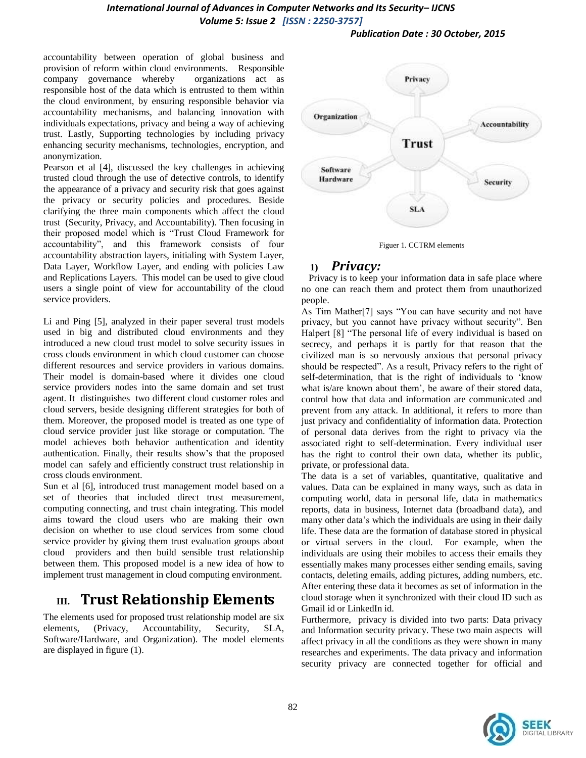*Publication Date : 30 October, 2015*

accountability between operation of global business and provision of reform within cloud environments. Responsible company governance whereby organizations act as responsible host of the data which is entrusted to them within the cloud environment, by ensuring responsible behavior via accountability mechanisms, and balancing innovation with individuals expectations, privacy and being a way of achieving trust. Lastly, Supporting technologies by including privacy enhancing security mechanisms, technologies, encryption, and anonymization.

Pearson et al [4], discussed the key challenges in achieving trusted cloud through the use of detective controls, to identify the appearance of a privacy and security risk that goes against the privacy or security policies and procedures. Beside clarifying the three main components which affect the cloud trust (Security, Privacy, and Accountability). Then focusing in their proposed model which is "Trust Cloud Framework for accountability", and this framework consists of four accountability abstraction layers, initialing with System Layer, Data Layer, Workflow Layer, and ending with policies Law and Replications Layers. This model can be used to give cloud users a single point of view for accountability of the cloud service providers.

Li and Ping [5], analyzed in their paper several trust models used in big and distributed cloud environments and they introduced a new cloud trust model to solve security issues in cross clouds environment in which cloud customer can choose different resources and service providers in various domains. Their model is domain-based where it divides one cloud service providers nodes into the same domain and set trust agent. It distinguishes two different cloud customer roles and cloud servers, beside designing different strategies for both of them. Moreover, the proposed model is treated as one type of cloud service provider just like storage or computation. The model achieves both behavior authentication and identity authentication. Finally, their results show"s that the proposed model can safely and efficiently construct trust relationship in cross clouds environment.

Sun et al [6], introduced trust management model based on a set of theories that included direct trust measurement, computing connecting, and trust chain integrating. This model aims toward the cloud users who are making their own decision on whether to use cloud services from some cloud service provider by giving them trust evaluation groups about cloud providers and then build sensible trust relationship between them. This proposed model is a new idea of how to implement trust management in cloud computing environment.

# **III. Trust Relationship Elements**

The elements used for proposed trust relationship model are six elements, (Privacy, Accountability, Security, SLA, Software/Hardware, and Organization). The model elements are displayed in figure (1).





#### **1)** *Privacy:*

 Privacy is to keep your information data in safe place where no one can reach them and protect them from unauthorized people.

As Tim Mather[7] says "You can have security and not have privacy, but you cannot have privacy without security". Ben Halpert [8] "The personal life of every individual is based on secrecy, and perhaps it is partly for that reason that the civilized man is so nervously anxious that personal privacy should be respected". As a result, Privacy refers to the right of self-determination, that is the right of individuals to "know what is/are known about them", be aware of their stored data, control how that data and information are communicated and prevent from any attack. In additional, it refers to more than just privacy and confidentiality of information data. Protection of personal data derives from the right to privacy via the associated right to self-determination. Every individual user has the right to control their own data, whether its public, private, or professional data.

The data is a set of variables, quantitative, qualitative and values. Data can be explained in many ways, such as data in computing world, data in personal life, data in mathematics reports, data in business, Internet data (broadband data), and many other data"s which the individuals are using in their daily life. These data are the formation of database stored in physical or virtual servers in the cloud. For example, when the individuals are using their mobiles to access their emails they essentially makes many processes either sending emails, saving contacts, deleting emails, adding pictures, adding numbers, etc. After entering these data it becomes as set of information in the cloud storage when it synchronized with their cloud ID such as Gmail id or LinkedIn id.

Furthermore, privacy is divided into two parts: Data privacy and Information security privacy. These two main aspects will affect privacy in all the conditions as they were shown in many researches and experiments. The data privacy and information security privacy are connected together for official and

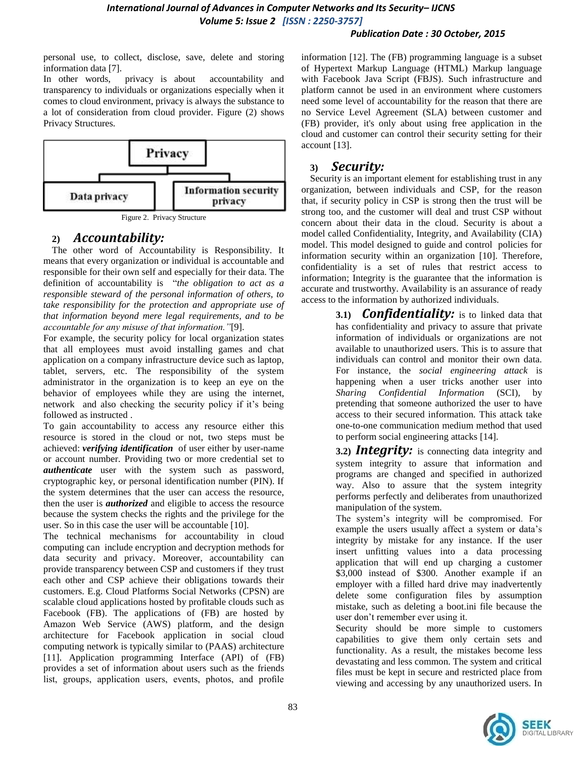#### *Publication Date : 30 October, 2015*

personal use, to collect, disclose, save, delete and storing information data [7].

In other words, privacy is about accountability and transparency to individuals or organizations especially when it comes to cloud environment, privacy is always the substance to a lot of consideration from cloud provider. Figure (2) shows Privacy Structures.



Figure 2. Privacy Structure

#### **2)** *Accountability:*

The other word of Accountability is Responsibility. It means that every organization or individual is accountable and responsible for their own self and especially for their data. The definition of accountability is "*the obligation to act as a responsible steward of the personal information of others, to take responsibility for the protection and appropriate use of that information beyond mere legal requirements, and to be accountable for any misuse of that information."*[9].

For example, the security policy for local organization states that all employees must avoid installing games and chat application on a company infrastructure device such as laptop, tablet, servers, etc. The responsibility of the system administrator in the organization is to keep an eye on the behavior of employees while they are using the internet, network and also checking the security policy if it's being followed as instructed .

To gain accountability to access any resource either this resource is stored in the cloud or not, two steps must be achieved: *verifying identification* of user either by user-name or account number. Providing two or more credential set to *authenticate* user with the system such as password, cryptographic key, or personal identification number (PIN). If the system determines that the user can access the resource, then the user is *authorized* and eligible to access the resource because the system checks the rights and the privilege for the user. So in this case the user will be accountable [10].

The technical mechanisms for accountability in cloud computing can include encryption and decryption methods for data security and privacy. Moreover, accountability can provide transparency between CSP and customers if they trust each other and CSP achieve their obligations towards their customers. E.g. Cloud Platforms Social Networks (CPSN) are scalable cloud applications hosted by profitable clouds such as Facebook (FB). The applications of (FB) are hosted by Amazon Web Service (AWS) platform, and the design architecture for Facebook application in social cloud computing network is typically similar to (PAAS) architecture [11]. Application programming Interface (API) of (FB) provides a set of information about users such as the friends list, groups, application users, events, photos, and profile

information [12]. The (FB) programming language is a subset of Hypertext Markup Language (HTML) Markup language with Facebook Java Script (FBJS). Such infrastructure and platform cannot be used in an environment where customers need some level of accountability for the reason that there are no Service Level Agreement (SLA) between customer and (FB) provider, it's only about using free application in the cloud and customer can control their security setting for their account [13].

#### **3)** *Security:*

Security is an important element for establishing trust in any organization, between individuals and CSP, for the reason that, if security policy in CSP is strong then the trust will be strong too, and the customer will deal and trust CSP without concern about their data in the cloud. Security is about a model called Confidentiality, Integrity, and Availability (CIA) model. This model designed to guide and control policies for information security within an organization [10]. Therefore, confidentiality is a set of rules that restrict access to information; Integrity is the guarantee that the information is accurate and trustworthy. Availability is an assurance of ready access to the information by authorized individuals.

> **3.1)** *Confidentiality:* is to linked data that has confidentiality and privacy to assure that private information of individuals or organizations are not available to unauthorized users. This is to assure that individuals can control and monitor their own data. For instance, the *social engineering attack* is happening when a user tricks another user into *Sharing Confidential Information* (SCI), by pretending that someone authorized the user to have access to their secured information. This attack take one-to-one communication medium method that used to perform social engineering attacks [14].

> **3.2)** *Integrity:* is connecting data integrity and system integrity to assure that information and programs are changed and specified in authorized way. Also to assure that the system integrity performs perfectly and deliberates from unauthorized manipulation of the system.

> The system"s integrity will be compromised. For example the users usually affect a system or data's integrity by mistake for any instance. If the user insert unfitting values into a data processing application that will end up charging a customer \$3,000 instead of \$300. Another example if an employer with a filled hard drive may inadvertently delete some configuration files by assumption mistake, such as deleting a boot.ini file because the user don"t remember ever using it.

> Security should be more simple to customers capabilities to give them only certain sets and functionality. As a result, the mistakes become less devastating and less common. The system and critical files must be kept in secure and restricted place from viewing and accessing by any unauthorized users. In

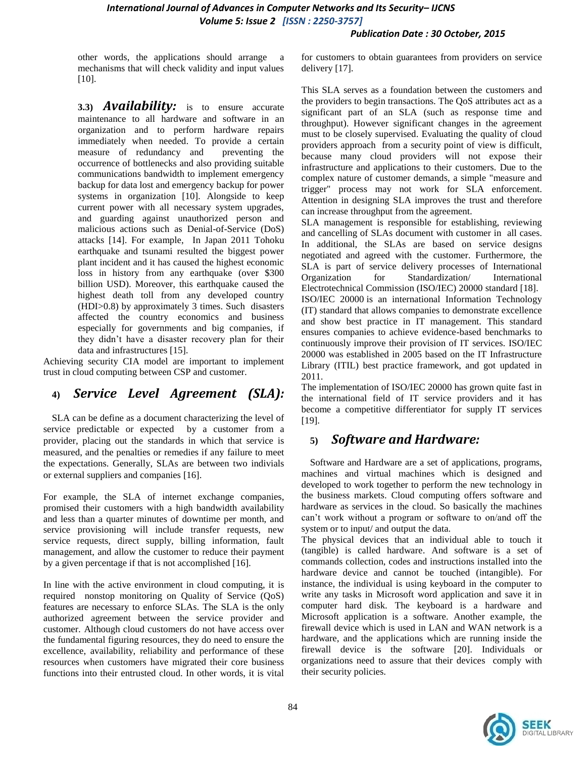#### *Publication Date : 30 October, 2015*

other words, the applications should arrange a mechanisms that will check validity and input values [10].

**3.3)** *Availability:* is to ensure accurate maintenance to all hardware and software in an organization and to perform hardware repairs immediately when needed. To provide a certain measure of redundancy and preventing the occurrence of bottlenecks and also providing suitable communications bandwidth to implement emergency backup for data lost and emergency backup for power systems in organization [10]. Alongside to keep current power with all necessary system upgrades, and guarding against unauthorized person and malicious actions such as Denial-of-Service (DoS) attacks [14]. For example, In Japan 2011 Tohoku earthquake and tsunami resulted the biggest power plant incident and it has caused the highest economic loss in history from any earthquake (over \$300 billion USD). Moreover, this earthquake caused the highest death toll from any developed country (HDI>0.8) by approximately 3 times. Such disasters affected the country economics and business especially for governments and big companies, if they didn"t have a disaster recovery plan for their data and infrastructures [15].

Achieving security CIA model are important to implement trust in cloud computing between CSP and customer.

## **4)** *Service Level Agreement (SLA):*

SLA can be define as a document characterizing the level of service predictable or expected by a customer from a provider, placing out the standards in which that service is measured, and the penalties or remedies if any failure to meet the expectations. Generally, SLAs are between two indivials or external suppliers and companies [16].

For example, the SLA of internet exchange companies, promised their customers with a high bandwidth availability and less than a quarter minutes of downtime per month, and service provisioning will include transfer requests, new service requests, direct supply, billing information, fault management, and allow the customer to reduce their payment by a given percentage if that is not accomplished [16].

In line with the active environment in cloud computing, it is required nonstop monitoring on Quality of Service (QoS) features are necessary to enforce SLAs. The SLA is the only authorized agreement between the service provider and customer. Although cloud customers do not have access over the fundamental figuring resources, they do need to ensure the excellence, availability, reliability and performance of these resources when customers have migrated their core business functions into their entrusted cloud. In other words, it is vital

for customers to obtain guarantees from providers on service delivery [17].

This SLA serves as a foundation between the customers and the providers to begin transactions. The QoS attributes act as a significant part of an SLA (such as response time and throughput). However significant changes in the agreement must to be closely supervised. Evaluating the quality of cloud providers approach from a security point of view is difficult, because many cloud providers will not expose their infrastructure and applications to their customers. Due to the complex nature of customer demands, a simple "measure and trigger" process may not work for SLA enforcement. Attention in designing SLA improves the trust and therefore can increase throughput from the agreement.

SLA management is responsible for establishing, reviewing and cancelling of SLAs document with customer in all cases. In additional, the SLAs are based on service designs negotiated and agreed with the customer. Furthermore, the SLA is part of service delivery processes of International Organization for Standardization/ International Electrotechnical Commission (ISO/IEC) 20000 standard [18]. ISO/IEC 20000 is an international Information Technology (IT) standard that allows companies to demonstrate excellence and show best practice in IT management. This standard ensures companies to achieve evidence-based benchmarks to continuously improve their provision of IT services. ISO/IEC 20000 was established in 2005 based on the IT Infrastructure Library (ITIL) best practice framework, and got updated in 2011.

The implementation of ISO/IEC 20000 has grown quite fast in the international field of IT service providers and it has become a competitive differentiator for supply IT services [19].

## **5)** *Software and Hardware:*

Software and Hardware are a set of applications, programs, machines and virtual machines which is designed and developed to work together to perform the new technology in the business markets. Cloud computing offers software and hardware as services in the cloud. So basically the machines can"t work without a program or software to on/and off the system or to input/ and output the data.

The physical devices that an individual able to touch it (tangible) is called hardware. And software is a set of commands collection, codes and instructions installed into the hardware device and cannot be touched (intangible). For instance, the individual is using keyboard in the computer to write any tasks in Microsoft word application and save it in computer hard disk. The keyboard is a hardware and Microsoft application is a software. Another example, the firewall device which is used in LAN and WAN network is a hardware, and the applications which are running inside the firewall device is the software [20]. Individuals or organizations need to assure that their devices comply with their security policies.

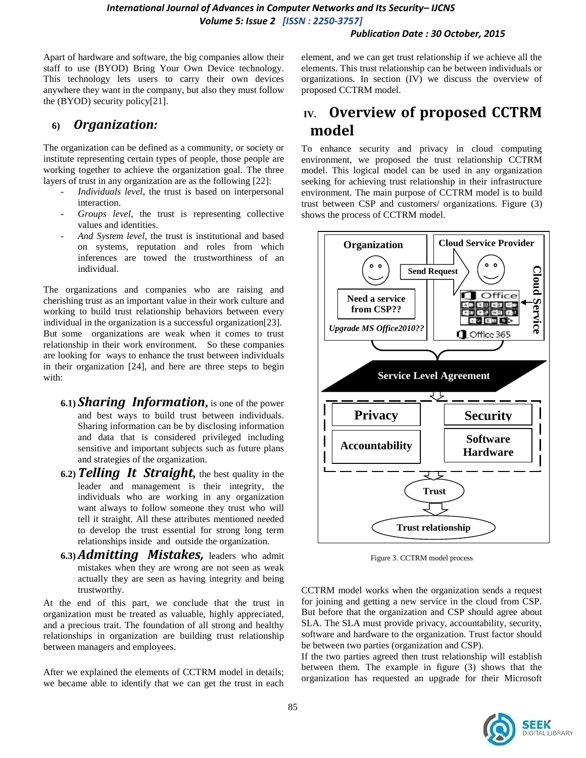#### *Publication Date : 30 October, 2015*

Apart of hardware and software, the big companies allow their staff to use (BYOD) Bring Your Own Device technology. This technology lets users to carry their own devices anywhere they want in the company, but also they must follow the (BYOD) security policy[21].

#### **6)** *Organization:*

The organization can be defined as a community, or society or institute representing certain types of people, those people are working together to achieve the organization goal. The three layers of trust in any organization are as the following [22]:

- *Individuals level*, the trust is based on interpersonal interaction.
- *Groups level*, the trust is representing collective values and identities.
- *And System level*, the trust is institutional and based on systems, reputation and roles from which inferences are towed the trustworthiness of an individual.

The organizations and companies who are raising and cherishing trust as an important value in their work culture and working to build trust relationship behaviors between every individual in the organization is a successful organization[23]. But some organizations are weak when it comes to trust relationship in their work environment. So these companies are looking for ways to enhance the trust between individuals in their organization [24], and here are three steps to begin with:

- **6.1)** *Sharing Information***,** is one of the power and best ways to build trust between individuals. Sharing information can be by disclosing information and data that is considered privileged including sensitive and important subjects such as future plans and strategies of the organization.
- **6.2)***Telling It Straight,* the best quality in the leader and management is their integrity, the individuals who are working in any organization want always to follow someone they trust who will tell it straight. All these attributes mentioned needed to develop the trust essential for strong long term relationships inside and outside the organization.
- **6.3)***Admitting Mistakes,* leaders who admit mistakes when they are wrong are not seen as weak actually they are seen as having integrity and being trustworthy.

At the end of this part, we conclude that the trust in organization must be treated as valuable, highly appreciated, and a precious trait. The foundation of all strong and healthy relationships in organization are building trust relationship between managers and employees.

After we explained the elements of CCTRM model in details; we became able to identify that we can get the trust in each element, and we can get trust relationship if we achieve all the elements. This trust relationship can be between individuals or organizations. In section (IV) we discuss the overview of proposed CCTRM model.

# **IV. Overview of proposed CCTRM model**

To enhance security and privacy in cloud computing environment, we proposed the trust relationship CCTRM model. This logical model can be used in any organization seeking for achieving trust relationship in their infrastructure environment. The main purpose of CCTRM model is to build trust between CSP and customers/ organizations. Figure (3) shows the process of CCTRM model.



Figure 3. CCTRM model process

CCTRM model works when the organization sends a request for joining and getting a new service in the cloud from CSP. But before that the organization and CSP should agree about SLA. The SLA must provide privacy, accountability, security, software and hardware to the organization. Trust factor should be between two parties (organization and CSP).

If the two parties agreed then trust relationship will establish between them. The example in figure (3) shows that the organization has requested an upgrade for their Microsoft

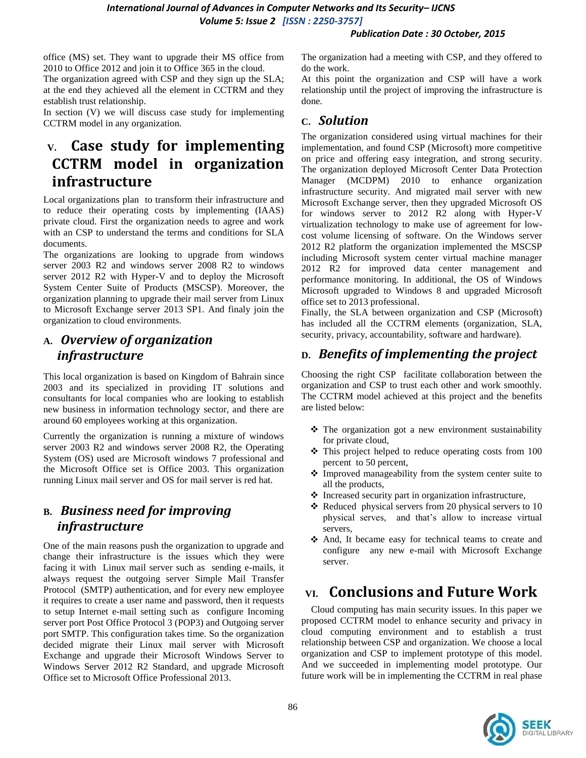#### *Publication Date : 30 October, 2015*

office (MS) set. They want to upgrade their MS office from 2010 to Office 2012 and join it to Office 365 in the cloud.

The organization agreed with CSP and they sign up the SLA; at the end they achieved all the element in CCTRM and they establish trust relationship.

In section (V) we will discuss case study for implementing CCTRM model in any organization.

# **V. Case study for implementing CCTRM model in organization infrastructure**

Local organizations plan to transform their infrastructure and to reduce their operating costs by implementing (IAAS) private cloud. First the organization needs to agree and work with an CSP to understand the terms and conditions for SLA documents.

The organizations are looking to upgrade from windows server 2003 R2 and windows server 2008 R2 to windows server 2012 R2 with Hyper-V and to deploy the Microsoft System Center Suite of Products (MSCSP). Moreover, the organization planning to upgrade their mail server from Linux to Microsoft Exchange server 2013 SP1. And finaly join the organization to cloud environments.

## **A.** *Overview of organization infrastructure*

This local organization is based on Kingdom of Bahrain since 2003 and its specialized in providing IT solutions and consultants for local companies who are looking to establish new business in information technology sector, and there are around 60 employees working at this organization.

Currently the organization is running a mixture of windows server 2003 R2 and windows server 2008 R2, the Operating System (OS) used are Microsoft windows 7 professional and the Microsoft Office set is Office 2003. This organization running Linux mail server and OS for mail server is red hat.

# **B.** *Business need for improving infrastructure*

One of the main reasons push the organization to upgrade and change their infrastructure is the issues which they were facing it with Linux mail server such as sending e-mails, it always request the outgoing server Simple Mail Transfer Protocol (SMTP) authentication, and for every new employee it requires to create a user name and password, then it requests to setup Internet e-mail setting such as configure Incoming server port Post Office Protocol 3 (POP3) and Outgoing server port SMTP. This configuration takes time. So the organization decided migrate their Linux mail server with Microsoft Exchange and upgrade their Microsoft Windows Server to Windows Server 2012 R2 Standard, and upgrade Microsoft Office set to Microsoft Office Professional 2013.

The organization had a meeting with CSP, and they offered to do the work.

At this point the organization and CSP will have a work relationship until the project of improving the infrastructure is done.

## **C.** *Solution*

The organization considered using virtual machines for their implementation, and found CSP (Microsoft) more competitive on price and offering easy integration, and strong security. The organization deployed Microsoft Center Data Protection Manager (MCDPM) 2010 to enhance organization infrastructure security. And migrated mail server with new Microsoft Exchange server, then they upgraded Microsoft OS for windows server to 2012 R2 along with Hyper-V virtualization technology to make use of agreement for lowcost volume licensing of software. On the Windows server 2012 R2 platform the organization implemented the MSCSP including Microsoft system center virtual machine manager 2012 R2 for improved data center management and performance monitoring. In additional, the OS of Windows Microsoft upgraded to Windows 8 and upgraded Microsoft office set to 2013 professional.

Finally, the SLA between organization and CSP (Microsoft) has included all the CCTRM elements (organization, SLA, security, privacy, accountability, software and hardware).

# **D.** *Benefits of implementing the project*

Choosing the right CSP facilitate collaboration between the organization and CSP to trust each other and work smoothly. The CCTRM model achieved at this project and the benefits are listed below:

- $\triangle$  The organization got a new environment sustainability for private cloud,
- $\div$  This project helped to reduce operating costs from 100 percent to 50 percent,
- Improved manageability from the system center suite to all the products,
- $\triangle$  Increased security part in organization infrastructure,
- $\triangle$  Reduced physical servers from 20 physical servers to 10 physical serves, and that"s allow to increase virtual servers,
- And, It became easy for technical teams to create and configure any new e-mail with Microsoft Exchange server.

# **VI. Conclusions and Future Work**

 Cloud computing has main security issues. In this paper we proposed CCTRM model to enhance security and privacy in cloud computing environment and to establish a trust relationship between CSP and organization. We choose a local organization and CSP to implement prototype of this model. And we succeeded in implementing model prototype. Our future work will be in implementing the CCTRM in real phase